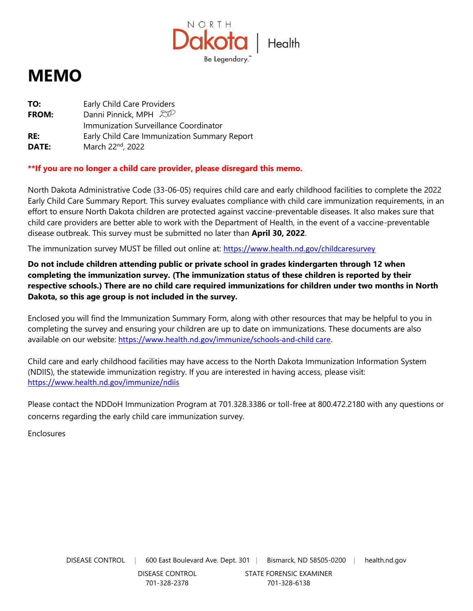

# **MEMO**

| TO:          | Early Child Care Providers                    |
|--------------|-----------------------------------------------|
| <b>FROM:</b> | Danni Pinnick, MPH $\mathbb{Z}^{\mathcal{D}}$ |
|              | Immunization Surveillance Coordinator         |
| RE:          | Early Child Care Immunization Summary Report  |
| DATE:        | March 22nd, 2022                              |

**\*\*If you are no longer a child care provider, please disregard this memo.**

North Dakota Administrative Code (33-06-05) requires child care and early childhood facilities to complete the 2022 Early Child Care Summary Report. This survey evaluates compliance with child care immunization requirements, in an effort to ensure North Dakota children are protected against vaccine-preventable diseases. It also makes sure that child care providers are better able to work with the Department of Health, in the event of a vaccine-preventable disease outbreak. This survey must be submitted no later than **April 30, 2022**.

The immunization survey MUST be filled out online at: <https://www.health.nd.gov/childcaresurvey>

**Do not include children attending public or private school in grades kindergarten through 12 when completing the immunization survey. (The immunization status of these children is reported by their respective schools.) There are no child care required immunizations for children under two months in North Dakota, so this age group is not included in the survey.** 

Enclosed you will find the Immunization Summary Form, along with other resources that may be helpful to you in completing the survey and ensuring your children are up to date on immunizations. These documents are also available on our website: [https://www.health.nd.gov/immunize/schools-and-child care.](https://www.health.nd.gov/immunize/schools-and-childcare)

Child care and early childhood facilities may have access to the North Dakota Immunization Information System (NDIIS), the statewide immunization registry. If you are interested in having access, please visit: <https://www.health.nd.gov/immunize/ndiis>

Please contact the NDDoH Immunization Program at 701.328.3386 or toll-free at 800.472.2180 with any questions or concerns regarding the early child care immunization survey.

Enclosures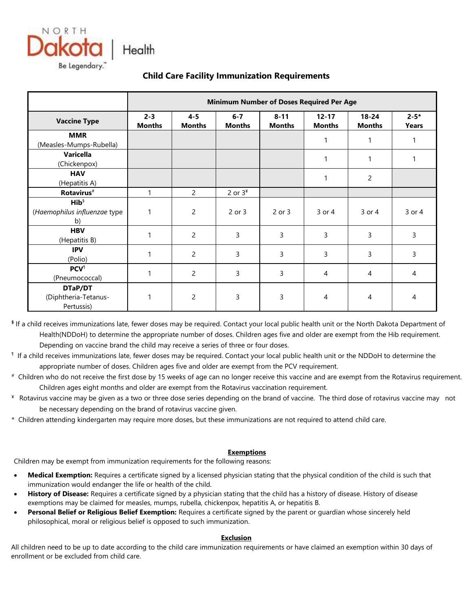



|                                                         | <b>Minimum Number of Doses Required Per Age</b> |                          |                          |                           |                            |                            |                   |  |  |  |  |  |
|---------------------------------------------------------|-------------------------------------------------|--------------------------|--------------------------|---------------------------|----------------------------|----------------------------|-------------------|--|--|--|--|--|
| <b>Vaccine Type</b>                                     | $2 - 3$<br><b>Months</b>                        | $4 - 5$<br><b>Months</b> | $6 - 7$<br><b>Months</b> | $8 - 11$<br><b>Months</b> | $12 - 17$<br><b>Months</b> | $18 - 24$<br><b>Months</b> | $2 - 5*$<br>Years |  |  |  |  |  |
| <b>MMR</b><br>(Measles-Mumps-Rubella)                   |                                                 |                          |                          |                           | 1                          | 1                          |                   |  |  |  |  |  |
| <b>Varicella</b><br>(Chickenpox)                        |                                                 |                          |                          |                           | 1                          | 1                          |                   |  |  |  |  |  |
| <b>HAV</b><br>(Hepatitis A)                             |                                                 |                          |                          |                           | 1                          | $\overline{c}$             |                   |  |  |  |  |  |
| Rotavirus <sup>#</sup>                                  | 1                                               | 2                        | 2 or $34$                |                           |                            |                            |                   |  |  |  |  |  |
| $\mathsf{Hib}^\S$<br>(Haemophilus influenzae type<br>b) | 1                                               | $\overline{2}$           | 2 or 3                   | 2 or 3                    | 3 or 4                     | $3$ or $4$                 | 3 or 4            |  |  |  |  |  |
| <b>HBV</b><br>(Hepatitis B)                             | 1                                               | $\overline{2}$           | 3                        | 3                         | 3                          | 3                          | 3                 |  |  |  |  |  |
| <b>IPV</b><br>(Polio)                                   | 1                                               | $\overline{2}$           | 3                        | 3                         | 3                          | 3                          | 3                 |  |  |  |  |  |
| <b>PCV</b><br>(Pneumococcal)                            | 1                                               | 2                        | 3                        | 3                         | 4                          | 4                          | 4                 |  |  |  |  |  |
| DTaP/DT<br>(Diphtheria-Tetanus-<br>Pertussis)           | 1                                               | $\overline{2}$           | 3                        | 3                         | 4                          | 4                          | 4                 |  |  |  |  |  |

## **Child Care Facility Immunization Requirements**

**§** If a child receives immunizations late, fewer doses may be required. Contact your local public health unit or the North Dakota Department of Health(NDDoH) to determine the appropriate number of doses. Children ages five and older are exempt from the Hib requirement. Depending on vaccine brand the child may receive a series of three or four doses.

- ¶ If a child receives immunizations late, fewer doses may be required. Contact your local public health unit or the NDDoH to determine the appropriate number of doses. Children ages five and older are exempt from the PCV requirement.
- # Children who do not receive the first dose by 15 weeks of age can no longer receive this vaccine and are exempt from the Rotavirus requirement. Children ages eight months and older are exempt from the Rotavirus vaccination requirement.
- ¥ Rotavirus vaccine may be given as a two or three dose series depending on the brand of vaccine. The third dose of rotavirus vaccine may not be necessary depending on the brand of rotavirus vaccine given.
- \* Children attending kindergarten may require more doses, but these immunizations are not required to attend child care.

#### **Exemptions**

Children may be exempt from immunization requirements for the following reasons:

- **Medical Exemption:** Requires a certificate signed by a licensed physician stating that the physical condition of the child is such that immunization would endanger the life or health of the child.
- **History of Disease:** Requires a certificate signed by a physician stating that the child has a history of disease. History of disease exemptions may be claimed for measles, mumps, rubella, chickenpox, hepatitis A, or hepatitis B.
- **Personal Belief or Religious Belief Exemption:** Requires a certificate signed by the parent or guardian whose sincerely held philosophical, moral or religious belief is opposed to such immunization.

#### **Exclusion**

All children need to be up to date according to the child care immunization requirements or have claimed an exemption within 30 days of enrollment or be excluded from child care.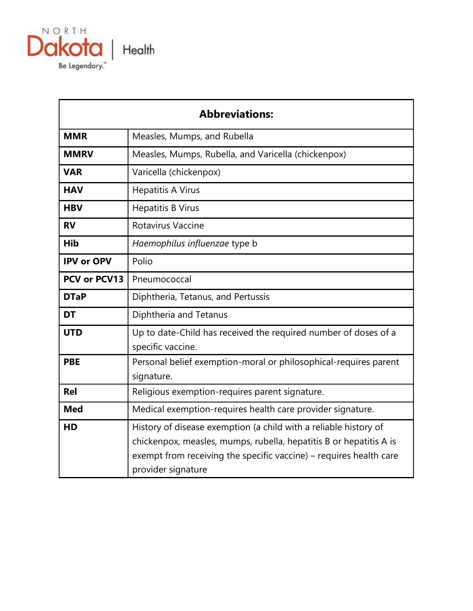

|                     | <b>Abbreviations:</b>                                                                                                                                                                                                              |
|---------------------|------------------------------------------------------------------------------------------------------------------------------------------------------------------------------------------------------------------------------------|
| <b>MMR</b>          | Measles, Mumps, and Rubella                                                                                                                                                                                                        |
| <b>MMRV</b>         | Measles, Mumps, Rubella, and Varicella (chickenpox)                                                                                                                                                                                |
| <b>VAR</b>          | Varicella (chickenpox)                                                                                                                                                                                                             |
| <b>HAV</b>          | <b>Hepatitis A Virus</b>                                                                                                                                                                                                           |
| <b>HBV</b>          | <b>Hepatitis B Virus</b>                                                                                                                                                                                                           |
| <b>RV</b>           | Rotavirus Vaccine                                                                                                                                                                                                                  |
| Hib                 | Haemophilus influenzae type b                                                                                                                                                                                                      |
| <b>IPV or OPV</b>   | Polio                                                                                                                                                                                                                              |
| <b>PCV or PCV13</b> | Pneumococcal                                                                                                                                                                                                                       |
| <b>DTaP</b>         | Diphtheria, Tetanus, and Pertussis                                                                                                                                                                                                 |
| <b>DT</b>           | Diphtheria and Tetanus                                                                                                                                                                                                             |
| <b>UTD</b>          | Up to date-Child has received the required number of doses of a<br>specific vaccine.                                                                                                                                               |
| <b>PBE</b>          | Personal belief exemption-moral or philosophical-requires parent<br>signature.                                                                                                                                                     |
| <b>Rel</b>          | Religious exemption-requires parent signature.                                                                                                                                                                                     |
| <b>Med</b>          | Medical exemption-requires health care provider signature.                                                                                                                                                                         |
| HD                  | History of disease exemption (a child with a reliable history of<br>chickenpox, measles, mumps, rubella, hepatitis B or hepatitis A is<br>exempt from receiving the specific vaccine) - requires health care<br>provider signature |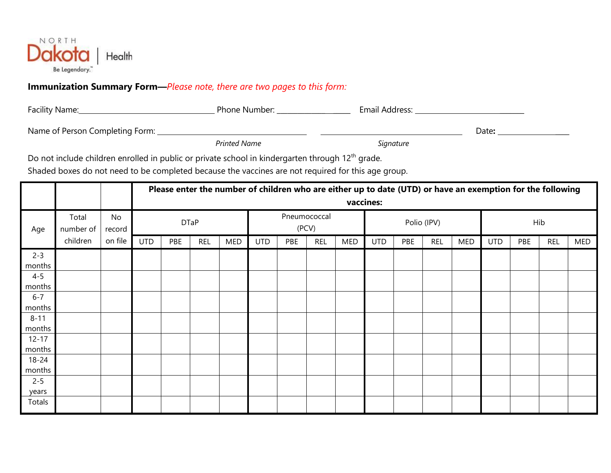

# **Immunization Summary Form—***Please note, there are two pages to this form:*

| Facility Name:                  | Phone Number:       | Email Address: |       |
|---------------------------------|---------------------|----------------|-------|
| Name of Person Completing Form: |                     |                | Date: |
|                                 | <b>Printed Name</b> | Signature      |       |

Do not include children enrolled in public or private school in kindergarten through 12<sup>th</sup> grade.

Shaded boxes do not need to be completed because the vaccines are not required for this age group.

|                                           |          |         |             | Please enter the number of children who are either up to date (UTD) or have an exemption for the following |     |                       |            |     |             |     |            |     |            |     |            |     |            |            |
|-------------------------------------------|----------|---------|-------------|------------------------------------------------------------------------------------------------------------|-----|-----------------------|------------|-----|-------------|-----|------------|-----|------------|-----|------------|-----|------------|------------|
|                                           |          |         |             | vaccines:                                                                                                  |     |                       |            |     |             |     |            |     |            |     |            |     |            |            |
| Total<br>No<br>number of<br>Age<br>record |          |         | <b>DTaP</b> |                                                                                                            |     | Pneumococcal<br>(PCV) |            |     | Polio (IPV) |     |            |     | Hib        |     |            |     |            |            |
|                                           | children | on file | <b>UTD</b>  | PBE                                                                                                        | REL | MED                   | <b>UTD</b> | PBE | <b>REL</b>  | MED | <b>UTD</b> | PBE | <b>REL</b> | MED | <b>UTD</b> | PBE | <b>REL</b> | <b>MED</b> |
| $2 - 3$                                   |          |         |             |                                                                                                            |     |                       |            |     |             |     |            |     |            |     |            |     |            |            |
| months                                    |          |         |             |                                                                                                            |     |                       |            |     |             |     |            |     |            |     |            |     |            |            |
| $4 - 5$                                   |          |         |             |                                                                                                            |     |                       |            |     |             |     |            |     |            |     |            |     |            |            |
| months                                    |          |         |             |                                                                                                            |     |                       |            |     |             |     |            |     |            |     |            |     |            |            |
| $6 - 7$                                   |          |         |             |                                                                                                            |     |                       |            |     |             |     |            |     |            |     |            |     |            |            |
| months                                    |          |         |             |                                                                                                            |     |                       |            |     |             |     |            |     |            |     |            |     |            |            |
| $8 - 11$                                  |          |         |             |                                                                                                            |     |                       |            |     |             |     |            |     |            |     |            |     |            |            |
| months                                    |          |         |             |                                                                                                            |     |                       |            |     |             |     |            |     |            |     |            |     |            |            |
| $12 - 17$                                 |          |         |             |                                                                                                            |     |                       |            |     |             |     |            |     |            |     |            |     |            |            |
| months                                    |          |         |             |                                                                                                            |     |                       |            |     |             |     |            |     |            |     |            |     |            |            |
| $18 - 24$                                 |          |         |             |                                                                                                            |     |                       |            |     |             |     |            |     |            |     |            |     |            |            |
| months                                    |          |         |             |                                                                                                            |     |                       |            |     |             |     |            |     |            |     |            |     |            |            |
| $2 - 5$                                   |          |         |             |                                                                                                            |     |                       |            |     |             |     |            |     |            |     |            |     |            |            |
| years                                     |          |         |             |                                                                                                            |     |                       |            |     |             |     |            |     |            |     |            |     |            |            |
| Totals                                    |          |         |             |                                                                                                            |     |                       |            |     |             |     |            |     |            |     |            |     |            |            |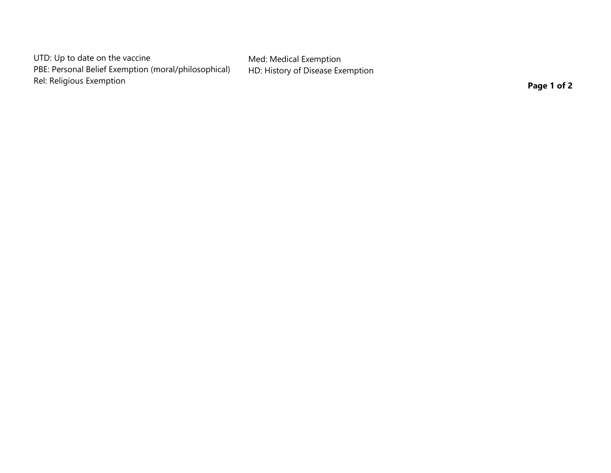UTD: Up to date on the vaccine PBE: Personal Belief Exemption (moral/philosophical) Rel: Religious Exemption

Med: Medical Exemption HD: History of Disease Exemption

**Page 1 of 2**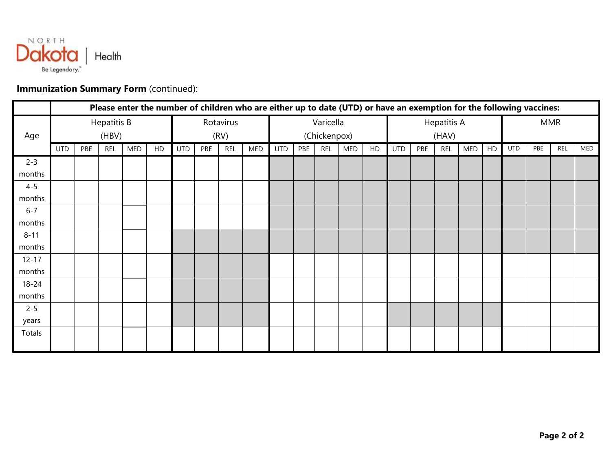

## **Immunization Summary Form** (continued):

|           |            | Please enter the number of children who are either up to date (UTD) or have an exemption for the following vaccines: |                    |     |    |     |     |            |     |              |           |     |     |       |                    |     |            |     |            |            |     |            |     |
|-----------|------------|----------------------------------------------------------------------------------------------------------------------|--------------------|-----|----|-----|-----|------------|-----|--------------|-----------|-----|-----|-------|--------------------|-----|------------|-----|------------|------------|-----|------------|-----|
|           |            |                                                                                                                      | <b>Hepatitis B</b> |     |    |     |     | Rotavirus  |     |              | Varicella |     |     |       | <b>Hepatitis A</b> |     |            |     | <b>MMR</b> |            |     |            |     |
| Age       |            |                                                                                                                      | (HBV)              |     |    |     |     | (RV)       |     | (Chickenpox) |           |     |     | (HAV) |                    |     |            |     |            |            |     |            |     |
|           | <b>UTD</b> | PBE                                                                                                                  | <b>REL</b>         | MED | HD | UTD | PBE | <b>REL</b> | MED | <b>UTD</b>   | PBE       | REL | MED | HD    | <b>UTD</b>         | PBE | <b>REL</b> | MED | HD         | <b>UTD</b> | PBE | <b>REL</b> | MED |
| $2 - 3$   |            |                                                                                                                      |                    |     |    |     |     |            |     |              |           |     |     |       |                    |     |            |     |            |            |     |            |     |
| months    |            |                                                                                                                      |                    |     |    |     |     |            |     |              |           |     |     |       |                    |     |            |     |            |            |     |            |     |
| $4 - 5$   |            |                                                                                                                      |                    |     |    |     |     |            |     |              |           |     |     |       |                    |     |            |     |            |            |     |            |     |
| months    |            |                                                                                                                      |                    |     |    |     |     |            |     |              |           |     |     |       |                    |     |            |     |            |            |     |            |     |
| $6 - 7$   |            |                                                                                                                      |                    |     |    |     |     |            |     |              |           |     |     |       |                    |     |            |     |            |            |     |            |     |
| months    |            |                                                                                                                      |                    |     |    |     |     |            |     |              |           |     |     |       |                    |     |            |     |            |            |     |            |     |
| $8 - 11$  |            |                                                                                                                      |                    |     |    |     |     |            |     |              |           |     |     |       |                    |     |            |     |            |            |     |            |     |
| months    |            |                                                                                                                      |                    |     |    |     |     |            |     |              |           |     |     |       |                    |     |            |     |            |            |     |            |     |
| $12 - 17$ |            |                                                                                                                      |                    |     |    |     |     |            |     |              |           |     |     |       |                    |     |            |     |            |            |     |            |     |
| months    |            |                                                                                                                      |                    |     |    |     |     |            |     |              |           |     |     |       |                    |     |            |     |            |            |     |            |     |
| $18 - 24$ |            |                                                                                                                      |                    |     |    |     |     |            |     |              |           |     |     |       |                    |     |            |     |            |            |     |            |     |
| months    |            |                                                                                                                      |                    |     |    |     |     |            |     |              |           |     |     |       |                    |     |            |     |            |            |     |            |     |
| $2 - 5$   |            |                                                                                                                      |                    |     |    |     |     |            |     |              |           |     |     |       |                    |     |            |     |            |            |     |            |     |
| years     |            |                                                                                                                      |                    |     |    |     |     |            |     |              |           |     |     |       |                    |     |            |     |            |            |     |            |     |
| Totals    |            |                                                                                                                      |                    |     |    |     |     |            |     |              |           |     |     |       |                    |     |            |     |            |            |     |            |     |
|           |            |                                                                                                                      |                    |     |    |     |     |            |     |              |           |     |     |       |                    |     |            |     |            |            |     |            |     |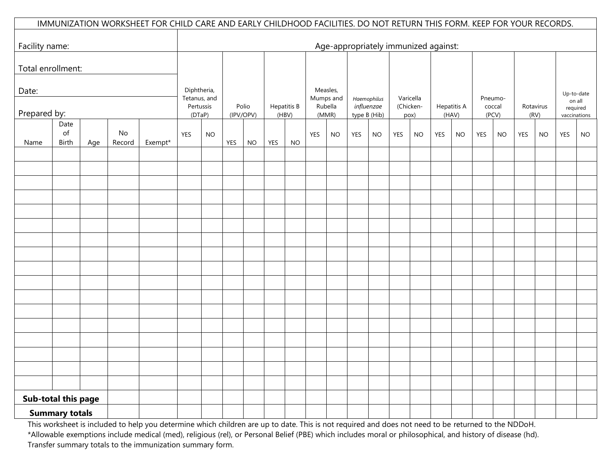|                     |                            |     |              | IMMUNIZATION WORKSHEET FOR CHILD CARE AND EARLY CHILDHOOD FACILITIES. DO NOT RETURN THIS FORM. KEEP FOR YOUR RECORDS. |                             |    |           |       |       |                    |                       |           |              |                                      |            |                   |     |                      |            |           |            |                   |     |                                    |
|---------------------|----------------------------|-----|--------------|-----------------------------------------------------------------------------------------------------------------------|-----------------------------|----|-----------|-------|-------|--------------------|-----------------------|-----------|--------------|--------------------------------------|------------|-------------------|-----|----------------------|------------|-----------|------------|-------------------|-----|------------------------------------|
|                     |                            |     |              |                                                                                                                       |                             |    |           |       |       |                    |                       |           |              |                                      |            |                   |     |                      |            |           |            |                   |     |                                    |
| Facility name:      |                            |     |              |                                                                                                                       |                             |    |           |       |       |                    |                       |           |              | Age-appropriately immunized against: |            |                   |     |                      |            |           |            |                   |     |                                    |
| Total enrollment:   |                            |     |              |                                                                                                                       |                             |    |           |       |       |                    |                       |           |              |                                      |            |                   |     |                      |            |           |            |                   |     |                                    |
| Date:               |                            |     |              |                                                                                                                       | Diphtheria,<br>Tetanus, and |    |           |       |       |                    | Measles,<br>Mumps and |           |              | Haemophilus                          |            | Varicella         |     |                      | Pneumo-    |           |            |                   |     | Up-to-date                         |
| Prepared by:        |                            |     |              |                                                                                                                       | Pertussis<br>(DTaP)         |    | (IPV/OPV) | Polio | (HBV) | <b>Hepatitis B</b> | Rubella<br>(MMR)      |           | type B (Hib) | influenzae                           |            | (Chicken-<br>pox) |     | Hepatitis A<br>(HAV) | (PCV)      | coccal    |            | Rotavirus<br>(RV) |     | on all<br>required<br>vaccinations |
| Name                | Date<br>$\circ$ f<br>Birth | Age | No<br>Record | Exempt*                                                                                                               | YES                         | NO | YES       | $NO$  | YES   | <b>NO</b>          | YES                   | <b>NO</b> | <b>YES</b>   | <b>NO</b>                            | <b>YES</b> | <b>NO</b>         | YES | <b>NO</b>            | <b>YES</b> | <b>NO</b> | <b>YES</b> | <b>NO</b>         | YES | <b>NO</b>                          |
|                     |                            |     |              |                                                                                                                       |                             |    |           |       |       |                    |                       |           |              |                                      |            |                   |     |                      |            |           |            |                   |     |                                    |
|                     |                            |     |              |                                                                                                                       |                             |    |           |       |       |                    |                       |           |              |                                      |            |                   |     |                      |            |           |            |                   |     |                                    |
|                     |                            |     |              |                                                                                                                       |                             |    |           |       |       |                    |                       |           |              |                                      |            |                   |     |                      |            |           |            |                   |     |                                    |
|                     |                            |     |              |                                                                                                                       |                             |    |           |       |       |                    |                       |           |              |                                      |            |                   |     |                      |            |           |            |                   |     |                                    |
|                     |                            |     |              |                                                                                                                       |                             |    |           |       |       |                    |                       |           |              |                                      |            |                   |     |                      |            |           |            |                   |     |                                    |
|                     |                            |     |              |                                                                                                                       |                             |    |           |       |       |                    |                       |           |              |                                      |            |                   |     |                      |            |           |            |                   |     |                                    |
|                     |                            |     |              |                                                                                                                       |                             |    |           |       |       |                    |                       |           |              |                                      |            |                   |     |                      |            |           |            |                   |     |                                    |
|                     |                            |     |              |                                                                                                                       |                             |    |           |       |       |                    |                       |           |              |                                      |            |                   |     |                      |            |           |            |                   |     |                                    |
|                     |                            |     |              |                                                                                                                       |                             |    |           |       |       |                    |                       |           |              |                                      |            |                   |     |                      |            |           |            |                   |     |                                    |
|                     |                            |     |              |                                                                                                                       |                             |    |           |       |       |                    |                       |           |              |                                      |            |                   |     |                      |            |           |            |                   |     |                                    |
|                     |                            |     |              |                                                                                                                       |                             |    |           |       |       |                    |                       |           |              |                                      |            |                   |     |                      |            |           |            |                   |     |                                    |
|                     |                            |     |              |                                                                                                                       |                             |    |           |       |       |                    |                       |           |              |                                      |            |                   |     |                      |            |           |            |                   |     |                                    |
|                     |                            |     |              |                                                                                                                       |                             |    |           |       |       |                    |                       |           |              |                                      |            |                   |     |                      |            |           |            |                   |     |                                    |
|                     |                            |     |              |                                                                                                                       |                             |    |           |       |       |                    |                       |           |              |                                      |            |                   |     |                      |            |           |            |                   |     |                                    |
|                     |                            |     |              |                                                                                                                       |                             |    |           |       |       |                    |                       |           |              |                                      |            |                   |     |                      |            |           |            |                   |     |                                    |
| Sub-total this page |                            |     |              |                                                                                                                       |                             |    |           |       |       |                    |                       |           |              |                                      |            |                   |     |                      |            |           |            |                   |     |                                    |
|                     | <b>Summary totals</b>      |     |              |                                                                                                                       |                             |    |           |       |       |                    |                       |           |              |                                      |            |                   |     |                      |            |           |            |                   |     |                                    |

This worksheet is included to help you determine which children are up to date. This is not required and does not need to be returned to the NDDoH. \*Allowable exemptions include medical (med), religious (rel), or Personal Belief (PBE) which includes moral or philosophical, and history of disease (hd). Transfer summary totals to the immunization summary form.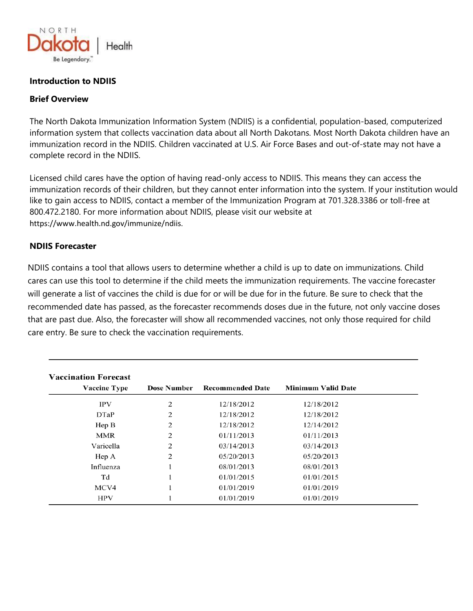

## **Introduction to NDIIS**

#### **Brief Overview**

The North Dakota Immunization Information System (NDIIS) is a confidential, population-based, computerized information system that collects vaccination data about all North Dakotans. Most North Dakota children have an immunization record in the NDIIS. Children vaccinated at U.S. Air Force Bases and out-of-state may not have a complete record in the NDIIS.

Licensed child cares have the option of having read-only access to NDIIS. This means they can access the immunization records of their children, but they cannot enter information into the system. If your institution would like to gain access to NDIIS, contact a member of the Immunization Program at 701.328.3386 or toll-free at 800.472.2180. For more information about NDIIS, please visit our website at https://www.health.nd.gov/immunize/ndiis.

#### **NDIIS Forecaster**

NDIIS contains a tool that allows users to determine whether a child is up to date on immunizations. Child cares can use this tool to determine if the child meets the immunization requirements. The vaccine forecaster will generate a list of vaccines the child is due for or will be due for in the future. Be sure to check that the recommended date has passed, as the forecaster recommends doses due in the future, not only vaccine doses that are past due. Also, the forecaster will show all recommended vaccines, not only those required for child care entry. Be sure to check the vaccination requirements.

| <b>Vaccine Type</b> | <b>Dose Number</b> | <b>Recommended Date</b> | <b>Minimum Valid Date</b> |
|---------------------|--------------------|-------------------------|---------------------------|
|                     |                    |                         |                           |
| <b>IPV</b>          | 2                  | 12/18/2012              | 12/18/2012                |
| <b>DTaP</b>         | 2                  | 12/18/2012              | 12/18/2012                |
| Hep B               | 2                  | 12/18/2012              | 12/14/2012                |
| MMR                 | 2                  | 01/11/2013              | 01/11/2013                |
| Varicella           | 2                  | 03/14/2013              | 03/14/2013                |
| Hep A               | 2                  | 05/20/2013              | 05/20/2013                |
| Influenza           |                    | 08/01/2013              | 08/01/2013                |
| Td                  |                    | 01/01/2015              | 01/01/2015                |
| MCV4                |                    | 01/01/2019              | 01/01/2019                |
| <b>HPV</b>          |                    | 01/01/2019              | 01/01/2019                |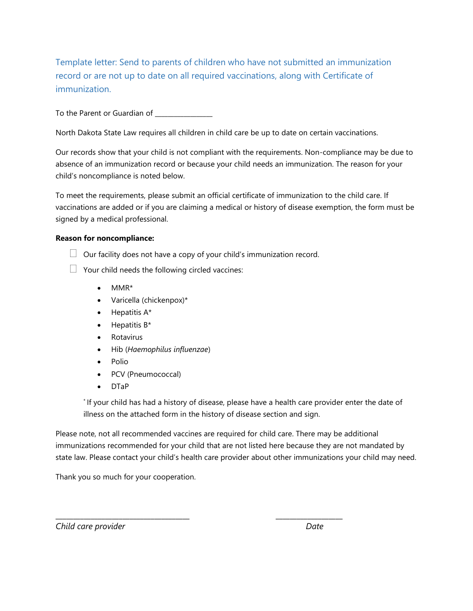Template letter: Send to parents of children who have not submitted an immunization record or are not up to date on all required vaccinations, along with Certificate of immunization.

To the Parent or Guardian of

North Dakota State Law requires all children in child care be up to date on certain vaccinations.

Our records show that your child is not compliant with the requirements. Non-compliance may be due to absence of an immunization record or because your child needs an immunization. The reason for your child's noncompliance is noted below.

To meet the requirements, please submit an official certificate of immunization to the child care. If vaccinations are added or if you are claiming a medical or history of disease exemption, the form must be signed by a medical professional.

#### **Reason for noncompliance:**

- $\Box$  Our facility does not have a copy of your child's immunization record.
- $\Box$  Your child needs the following circled vaccines:
	- MMR\*
	- Varicella (chickenpox)\*
	- $\bullet$  Hepatitis A\*
	- $\bullet$  Hepatitis  $B^*$
	- Rotavirus
	- Hib (*Haemophilus influenzae*)
	- Polio
	- PCV (Pneumococcal)
	- DTaP

\* If your child has had a history of disease, please have a health care provider enter the date of illness on the attached form in the history of disease section and sign.

Please note, not all recommended vaccines are required for child care. There may be additional immunizations recommended for your child that are not listed here because they are not mandated by state law. Please contact your child's health care provider about other immunizations your child may need.

\_\_\_\_\_\_\_\_\_\_\_\_\_\_\_\_\_\_\_\_\_\_\_\_\_\_\_\_\_\_\_\_\_\_\_\_\_\_ \_\_\_\_\_\_\_\_\_\_\_\_\_\_\_\_\_\_\_

Thank you so much for your cooperation.

*Child care provider Date*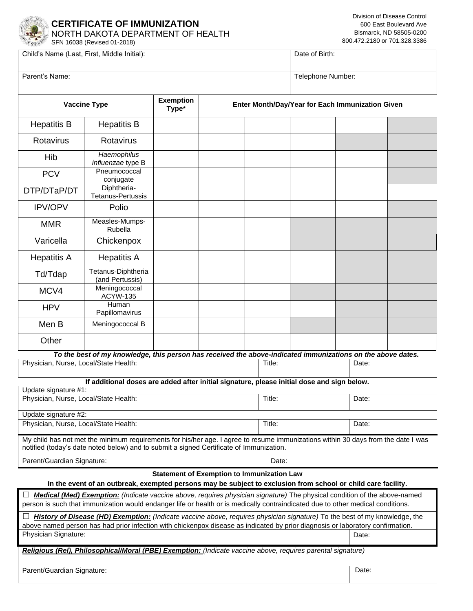

### **CERTIFICATE OF IMMUNIZATION** NORTH DAKOTA DEPARTMENT OF HEALTH

Child's Name (Last, First, Middle Initial): Date of Birth:

| Parent's Name:                                                |                                                                                                                                                                                                                                                              |                           |                                                   | Telephone Number: |                                                  |       |  |  |  |
|---------------------------------------------------------------|--------------------------------------------------------------------------------------------------------------------------------------------------------------------------------------------------------------------------------------------------------------|---------------------------|---------------------------------------------------|-------------------|--------------------------------------------------|-------|--|--|--|
|                                                               | <b>Vaccine Type</b>                                                                                                                                                                                                                                          | <b>Exemption</b><br>Type* |                                                   |                   | Enter Month/Day/Year for Each Immunization Given |       |  |  |  |
| <b>Hepatitis B</b>                                            | <b>Hepatitis B</b>                                                                                                                                                                                                                                           |                           |                                                   |                   |                                                  |       |  |  |  |
| Rotavirus                                                     | Rotavirus                                                                                                                                                                                                                                                    |                           |                                                   |                   |                                                  |       |  |  |  |
| Hib                                                           | Haemophilus<br>influenzae type B                                                                                                                                                                                                                             |                           |                                                   |                   |                                                  |       |  |  |  |
| <b>PCV</b>                                                    | Pneumococcal<br>conjugate                                                                                                                                                                                                                                    |                           |                                                   |                   |                                                  |       |  |  |  |
| DTP/DTaP/DT                                                   | Diphtheria-<br>Tetanus-Pertussis                                                                                                                                                                                                                             |                           |                                                   |                   |                                                  |       |  |  |  |
| <b>IPV/OPV</b>                                                | Polio                                                                                                                                                                                                                                                        |                           |                                                   |                   |                                                  |       |  |  |  |
| MMR                                                           | Measles-Mumps-<br>Rubella                                                                                                                                                                                                                                    |                           |                                                   |                   |                                                  |       |  |  |  |
| Varicella                                                     | Chickenpox                                                                                                                                                                                                                                                   |                           |                                                   |                   |                                                  |       |  |  |  |
| <b>Hepatitis A</b>                                            | <b>Hepatitis A</b>                                                                                                                                                                                                                                           |                           |                                                   |                   |                                                  |       |  |  |  |
| Td/Tdap                                                       | Tetanus-Diphtheria<br>(and Pertussis)                                                                                                                                                                                                                        |                           |                                                   |                   |                                                  |       |  |  |  |
| MCV4                                                          | Meningococcal<br><b>ACYW-135</b>                                                                                                                                                                                                                             |                           |                                                   |                   |                                                  |       |  |  |  |
| <b>HPV</b>                                                    | Human<br>Papillomavirus                                                                                                                                                                                                                                      |                           |                                                   |                   |                                                  |       |  |  |  |
| Men B                                                         | Meningococcal B                                                                                                                                                                                                                                              |                           |                                                   |                   |                                                  |       |  |  |  |
| Other                                                         |                                                                                                                                                                                                                                                              |                           |                                                   |                   |                                                  |       |  |  |  |
|                                                               | To the best of my knowledge, this person has received the above-indicated immunizations on the above dates.                                                                                                                                                  |                           |                                                   |                   |                                                  |       |  |  |  |
| Physician, Nurse, Local/State Health:                         |                                                                                                                                                                                                                                                              |                           |                                                   | Title:            |                                                  | Date: |  |  |  |
|                                                               | If additional doses are added after initial signature, please initial dose and sign below.                                                                                                                                                                   |                           |                                                   |                   |                                                  |       |  |  |  |
| Update signature #1:<br>Physician, Nurse, Local/State Health: |                                                                                                                                                                                                                                                              |                           |                                                   | Title:            |                                                  | Date: |  |  |  |
| Update signature #2:                                          |                                                                                                                                                                                                                                                              |                           |                                                   |                   |                                                  |       |  |  |  |
| Physician, Nurse, Local/State Health:                         |                                                                                                                                                                                                                                                              |                           |                                                   | Title:            |                                                  | Date: |  |  |  |
|                                                               | My child has not met the minimum requirements for his/her age. I agree to resume immunizations within 30 days from the date I was<br>notified (today's date noted below) and to submit a signed Certificate of Immunization.                                 |                           |                                                   |                   |                                                  |       |  |  |  |
| Parent/Guardian Signature:                                    |                                                                                                                                                                                                                                                              |                           |                                                   | Date:             |                                                  |       |  |  |  |
|                                                               | In the event of an outbreak, exempted persons may be subject to exclusion from school or child care facility.                                                                                                                                                |                           | <b>Statement of Exemption to Immunization Law</b> |                   |                                                  |       |  |  |  |
|                                                               | Medical (Med) Exemption: (Indicate vaccine above, requires physician signature) The physical condition of the above-named                                                                                                                                    |                           |                                                   |                   |                                                  |       |  |  |  |
|                                                               | person is such that immunization would endanger life or health or is medically contraindicated due to other medical conditions.                                                                                                                              |                           |                                                   |                   |                                                  |       |  |  |  |
|                                                               | History of Disease (HD) Exemption: (Indicate vaccine above, requires physician signature) To the best of my knowledge, the<br>above named person has had prior infection with chickenpox disease as indicated by prior diagnosis or laboratory confirmation. |                           |                                                   |                   |                                                  |       |  |  |  |
| Physician Signature:                                          |                                                                                                                                                                                                                                                              |                           |                                                   |                   |                                                  | Date: |  |  |  |
|                                                               | Religious (Rel), Philosophical/Moral (PBE) Exemption: (Indicate vaccine above, requires parental signature)                                                                                                                                                  |                           |                                                   |                   |                                                  |       |  |  |  |
| Parent/Guardian Signature:                                    |                                                                                                                                                                                                                                                              |                           |                                                   |                   |                                                  | Date: |  |  |  |
|                                                               |                                                                                                                                                                                                                                                              |                           |                                                   |                   |                                                  |       |  |  |  |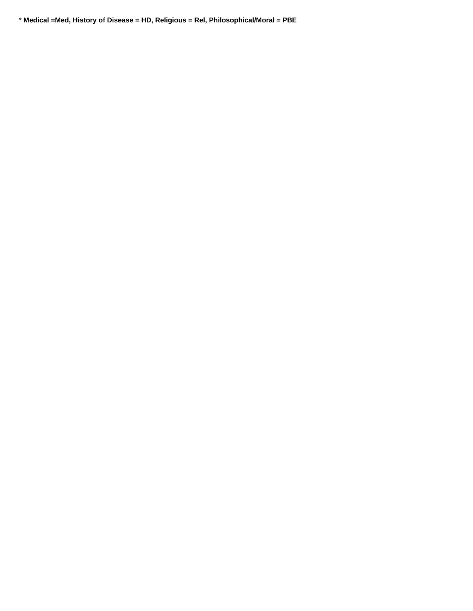\* **Medical =Med, History of Disease = HD, Religious = Rel, Philosophical/Moral = PBE**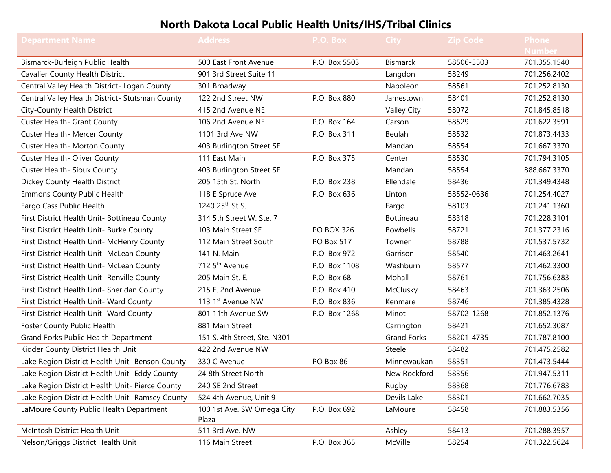# **North Dakota Local Public Health Units/IHS/Tribal Clinics**

| <b>Department Name</b>                          | <b>Address</b>               | P.O. Box          | <b>City</b>        | <b>Zip Code</b> | <b>Phone</b>  |
|-------------------------------------------------|------------------------------|-------------------|--------------------|-----------------|---------------|
|                                                 |                              |                   |                    |                 | <b>Number</b> |
| Bismarck-Burleigh Public Health                 | 500 East Front Avenue        | P.O. Box 5503     | <b>Bismarck</b>    | 58506-5503      | 701.355.1540  |
| Cavalier County Health District                 | 901 3rd Street Suite 11      |                   | Langdon            | 58249           | 701.256.2402  |
| Central Valley Health District- Logan County    | 301 Broadway                 |                   | Napoleon           | 58561           | 701.252.8130  |
| Central Valley Health District- Stutsman County | 122 2nd Street NW            | P.O. Box 880      | Jamestown          | 58401           | 701.252.8130  |
| City-County Health District                     | 415 2nd Avenue NE            |                   | Valley City        | 58072           | 701.845.8518  |
| Custer Health- Grant County                     | 106 2nd Avenue NE            | P.O. Box 164      | Carson             | 58529           | 701.622.3591  |
| Custer Health- Mercer County                    | 1101 3rd Ave NW              | P.O. Box 311      | Beulah             | 58532           | 701.873.4433  |
| Custer Health- Morton County                    | 403 Burlington Street SE     |                   | Mandan             | 58554           | 701.667.3370  |
| Custer Health- Oliver County                    | 111 East Main                | P.O. Box 375      | Center             | 58530           | 701.794.3105  |
| Custer Health- Sioux County                     | 403 Burlington Street SE     |                   | Mandan             | 58554           | 888.667.3370  |
| Dickey County Health District                   | 205 15th St. North           | P.O. Box 238      | Ellendale          | 58436           | 701.349.4348  |
| <b>Emmons County Public Health</b>              | 118 E Spruce Ave             | P.O. Box 636      | Linton             | 58552-0636      | 701.254.4027  |
| Fargo Cass Public Health                        | 1240 25th St S.              |                   | Fargo              | 58103           | 701.241.1360  |
| First District Health Unit- Bottineau County    | 314 5th Street W. Ste. 7     |                   | <b>Bottineau</b>   | 58318           | 701.228.3101  |
| First District Health Unit- Burke County        | 103 Main Street SE           | <b>PO BOX 326</b> | <b>Bowbells</b>    | 58721           | 701.377.2316  |
| First District Health Unit- McHenry County      | 112 Main Street South        | PO Box 517        | Towner             | 58788           | 701.537.5732  |
| First District Health Unit- McLean County       | 141 N. Main                  | P.O. Box 972      | Garrison           | 58540           | 701.463.2641  |
| First District Health Unit- McLean County       | 712 5 <sup>th</sup> Avenue   | P.O. Box 1108     | Washburn           | 58577           | 701.462.3300  |
| First District Health Unit- Renville County     | 205 Main St. E.              | P.O. Box 68       | Mohall             | 58761           | 701.756.6383  |
| First District Health Unit- Sheridan County     | 215 E. 2nd Avenue            | P.O. Box 410      | McClusky           | 58463           | 701.363.2506  |
| First District Health Unit- Ward County         | 113 1st Avenue NW            | P.O. Box 836      | Kenmare            | 58746           | 701.385.4328  |
| First District Health Unit- Ward County         | 801 11th Avenue SW           | P.O. Box 1268     | Minot              | 58702-1268      | 701.852.1376  |
| Foster County Public Health                     | 881 Main Street              |                   | Carrington         | 58421           | 701.652.3087  |
| Grand Forks Public Health Department            | 151 S. 4th Street, Ste. N301 |                   | <b>Grand Forks</b> | 58201-4735      | 701.787.8100  |
| Kidder County District Health Unit              | 422 2nd Avenue NW            |                   | Steele             | 58482           | 701.475.2582  |
| Lake Region District Health Unit- Benson County | 330 C Avenue                 | PO Box 86         | Minnewaukan        | 58351           | 701.473.5444  |
| Lake Region District Health Unit- Eddy County   | 24 8th Street North          |                   | New Rockford       | 58356           | 701.947.5311  |
| Lake Region District Health Unit- Pierce County | 240 SE 2nd Street            |                   | Rugby              | 58368           | 701.776.6783  |
| Lake Region District Health Unit- Ramsey County | 524 4th Avenue, Unit 9       |                   | Devils Lake        | 58301           | 701.662.7035  |
| LaMoure County Public Health Department         | 100 1st Ave. SW Omega City   | P.O. Box 692      | LaMoure            | 58458           | 701.883.5356  |
|                                                 | Plaza                        |                   |                    |                 |               |
| McIntosh District Health Unit                   | 511 3rd Ave. NW              |                   | Ashley             | 58413           | 701.288.3957  |
| Nelson/Griggs District Health Unit              | 116 Main Street              | P.O. Box 365      | McVille            | 58254           | 701.322.5624  |